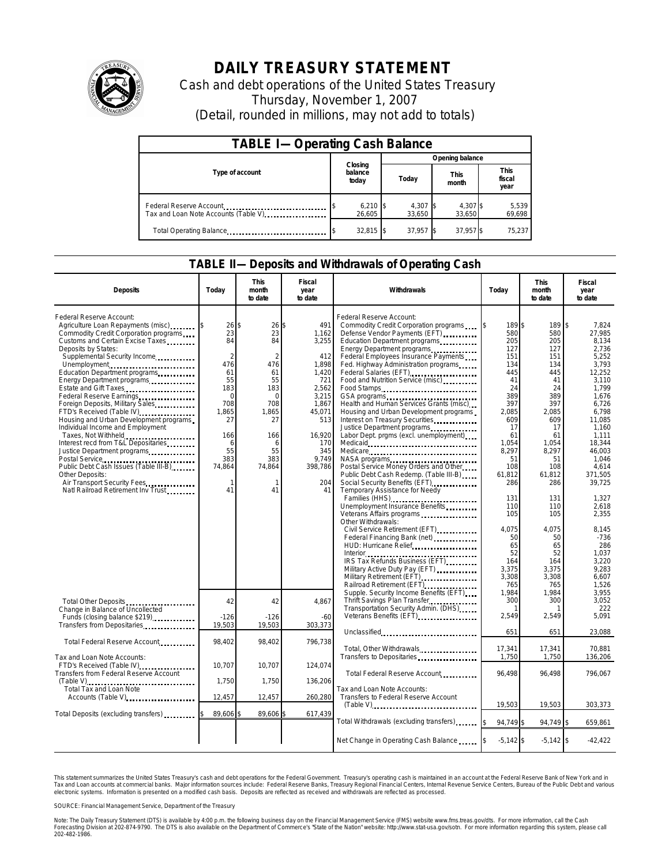

## **DAILY TREASURY STATEMENT**

Cash and debt operations of the United States Treasury Thursday, November 1, 2007 (Detail, rounded in millions, may not add to totals)

| <b>TABLE I-Operating Cash Balance</b> |                             |  |                               |                 |                               |  |  |  |
|---------------------------------------|-----------------------------|--|-------------------------------|-----------------|-------------------------------|--|--|--|
|                                       | Closing<br>balance<br>today |  | Opening balance               |                 |                               |  |  |  |
| Type of account                       |                             |  | <b>This</b><br>Today<br>month |                 | <b>This</b><br>fiscal<br>year |  |  |  |
| Tax and Loan Note Accounts (Table V)  | $6,210$ \$<br>26.605        |  | 4,307 \$<br>33.650            | 4,307<br>33.650 | 5,539<br>69,698               |  |  |  |
| Total Operating Balance               | $32,815$ \$                 |  | 37,957                        | 37,957 \$       | 75.237                        |  |  |  |

## **TABLE II—Deposits and Withdrawals of Operating Cash**

| <b>Deposits</b>                                                                                                                                                                                                                                                                                                                                                                                                                                                                                                                                                                                                                                                                                                                       | Today                                                                                                                                                 | <b>This</b><br>month<br>to date                                                                                                                             | Fiscal<br>year<br>to date                                                                                                                                        | Withdrawals                                                                                                                                                                                                                                                                                                                                                                                                                                                                                                                                                                                                                                                                                                                                                                                                                                                                                                                                                                                                                                                       | Today                                                                                                                                                                                                                                 | <b>This</b><br>month<br>to date                                                                                                                                                                                                     | Fiscal<br>year<br>to date                                                                                                                                                                                                                                                                                           |
|---------------------------------------------------------------------------------------------------------------------------------------------------------------------------------------------------------------------------------------------------------------------------------------------------------------------------------------------------------------------------------------------------------------------------------------------------------------------------------------------------------------------------------------------------------------------------------------------------------------------------------------------------------------------------------------------------------------------------------------|-------------------------------------------------------------------------------------------------------------------------------------------------------|-------------------------------------------------------------------------------------------------------------------------------------------------------------|------------------------------------------------------------------------------------------------------------------------------------------------------------------|-------------------------------------------------------------------------------------------------------------------------------------------------------------------------------------------------------------------------------------------------------------------------------------------------------------------------------------------------------------------------------------------------------------------------------------------------------------------------------------------------------------------------------------------------------------------------------------------------------------------------------------------------------------------------------------------------------------------------------------------------------------------------------------------------------------------------------------------------------------------------------------------------------------------------------------------------------------------------------------------------------------------------------------------------------------------|---------------------------------------------------------------------------------------------------------------------------------------------------------------------------------------------------------------------------------------|-------------------------------------------------------------------------------------------------------------------------------------------------------------------------------------------------------------------------------------|---------------------------------------------------------------------------------------------------------------------------------------------------------------------------------------------------------------------------------------------------------------------------------------------------------------------|
| Federal Reserve Account:<br>Agriculture Loan Repayments (misc)<br>Commodity Credit Corporation programs<br>Customs and Certain Excise Taxes<br>Deposits by States:<br>Supplemental Security Income<br>Unemployment<br>Education Department programs<br>Energy Department programs<br>Estate and Gift Taxes<br>Federal Reserve Earnings<br>Foreign Deposits, Military Sales<br>FTD's Received (Table IV)<br>Housing and Urban Development programs<br>Individual Income and Employment<br>Taxes, Not Withheld<br>Interest recd from T&L Depositaries<br>Justice Department programs<br>Postal Service<br>Public Debt Cash Issues (Table III-B)<br>Other Deposits:<br>Air Transport Security Fees<br>Natl Railroad Retirement Inv Trust | 26<br>23<br>84<br>$\mathfrak{D}$<br>476<br>61<br>55<br>183<br>$\Omega$<br>708<br>1,865<br>27<br>166<br>6<br>55<br>383<br>74,864<br>$\mathbf{1}$<br>41 | 26<br>\$<br>23<br>84<br>$\mathfrak{D}$<br>476<br>61<br>55<br>183<br>$\Omega$<br>708<br>1,865<br>27<br>166<br>6<br>55<br>383<br>74,864<br>$\mathbf{1}$<br>41 | 491<br>\$<br>1.162<br>3,255<br>412<br>1,898<br>1.420<br>721<br>2,562<br>3,215<br>1.867<br>45,071<br>513<br>16.920<br>170<br>345<br>9.749<br>398,786<br>204<br>41 | Federal Reserve Account:<br>Commodity Credit Corporation programs<br>Defense Vendor Payments (EFT)<br>Education Department programs<br>Energy Department programs<br>Federal Employees Insurance Payments<br>Fed. Highway Administration programs<br>Federal Salaries (EFT)<br>Food and Nutrition Service (misc)<br>Food Stamps<br>Health and Human Services Grants (misc)<br>Housing and Urban Development programs<br>Interest on Treasury Securities<br>Justice Department programs<br>Labor Dept. prgms (excl. unemployment)<br>Medicare<br>NASA programs<br>Postal Service Money Orders and Other<br>Public Debt Cash Redemp. (Table III-B)<br>Social Security Benefits (EFT)<br>Temporary Assistance for Needy<br>Families (HHS) <b></b><br>Unemployment Insurance Benefits<br>Veterans Affairs programs<br>Other Withdrawals:<br>Civil Service Retirement (EFT)<br>Federal Financing Bank (net)<br><br>HUD: Hurricane Relief<br>IRS Tax Refunds Business (EFT)<br>Military Active Duty Pay (EFT)<br>Military Retirement (EFT)<br>Railroad Retirement (EFT) | 189\$<br>580<br>205<br>127<br>151<br>134<br>445<br>41<br>24<br>389<br>397<br>2,085<br>609<br>17<br>61<br>1.054<br>8.297<br>51<br>108<br>61,812<br>286<br>131<br>110<br>105<br>4.075<br>50<br>65<br>52<br>164<br>3,375<br>3,308<br>765 | 189<br>580<br>205<br>127<br>151<br>134<br>445<br>41<br>24<br>389<br>397<br>2,085<br>609<br>17<br>61<br>1.054<br>8.297<br>51<br>108<br>61,812<br>286<br>131<br>110<br>105<br>4,075<br>50<br>65<br>52<br>164<br>3,375<br>3,308<br>765 | $\mathbb{S}$<br>7,824<br>27.985<br>8.134<br>2.736<br>5.252<br>3,793<br>12,252<br>3,110<br>1.799<br>1,676<br>6.726<br>6,798<br>11.085<br>1,160<br>1,111<br>18.344<br>46,003<br>1.046<br>4,614<br>371,505<br>39,725<br>1,327<br>2,618<br>2,355<br>8.145<br>$-736$<br>286<br>1.037<br>3.220<br>9,283<br>6.607<br>1,526 |
| Total Other Deposits<br>Change in Balance of Uncollected<br>Funds (closing balance \$219)                                                                                                                                                                                                                                                                                                                                                                                                                                                                                                                                                                                                                                             | 42<br>$-126$                                                                                                                                          | 42<br>$-126$                                                                                                                                                | 4,867<br>$-60$                                                                                                                                                   | Supple. Security Income Benefits (EFT)<br>Thrift Savings Plan Transfer<br>Transportation Security Admin. (DHS)<br>Veterans Benefits (EFT)                                                                                                                                                                                                                                                                                                                                                                                                                                                                                                                                                                                                                                                                                                                                                                                                                                                                                                                         | 1,984<br>300<br>2,549                                                                                                                                                                                                                 | 1,984<br>300<br>2,549                                                                                                                                                                                                               | 3.955<br>3,052<br>222<br>5.091                                                                                                                                                                                                                                                                                      |
| Transfers from Depositaries                                                                                                                                                                                                                                                                                                                                                                                                                                                                                                                                                                                                                                                                                                           | 19,503                                                                                                                                                | 19,503                                                                                                                                                      | 303,373                                                                                                                                                          | Unclassified                                                                                                                                                                                                                                                                                                                                                                                                                                                                                                                                                                                                                                                                                                                                                                                                                                                                                                                                                                                                                                                      | 651                                                                                                                                                                                                                                   | 651                                                                                                                                                                                                                                 | 23,088                                                                                                                                                                                                                                                                                                              |
| Total Federal Reserve Account<br>Tax and Loan Note Accounts:                                                                                                                                                                                                                                                                                                                                                                                                                                                                                                                                                                                                                                                                          | 98,402                                                                                                                                                | 98,402                                                                                                                                                      | 796,738                                                                                                                                                          | Total, Other Withdrawals<br>Transfers to Depositaries                                                                                                                                                                                                                                                                                                                                                                                                                                                                                                                                                                                                                                                                                                                                                                                                                                                                                                                                                                                                             | 17.341<br>1,750                                                                                                                                                                                                                       | 17.341<br>1,750                                                                                                                                                                                                                     | 70.881<br>136,206                                                                                                                                                                                                                                                                                                   |
| FTD's Received (Table IV)<br>Transfers from Federal Reserve Account                                                                                                                                                                                                                                                                                                                                                                                                                                                                                                                                                                                                                                                                   | 10,707<br>1,750                                                                                                                                       | 10,707<br>1,750                                                                                                                                             | 124,074<br>136,206                                                                                                                                               | Total Federal Reserve Account.                                                                                                                                                                                                                                                                                                                                                                                                                                                                                                                                                                                                                                                                                                                                                                                                                                                                                                                                                                                                                                    | 96,498                                                                                                                                                                                                                                | 96,498                                                                                                                                                                                                                              | 796,067                                                                                                                                                                                                                                                                                                             |
| (Table V)<br>Total Tax and Loan Note<br>Accounts (Table V)                                                                                                                                                                                                                                                                                                                                                                                                                                                                                                                                                                                                                                                                            | 12,457                                                                                                                                                | 12,457                                                                                                                                                      | 260,280                                                                                                                                                          | Tax and Loan Note Accounts:<br>Transfers to Federal Reserve Account                                                                                                                                                                                                                                                                                                                                                                                                                                                                                                                                                                                                                                                                                                                                                                                                                                                                                                                                                                                               |                                                                                                                                                                                                                                       |                                                                                                                                                                                                                                     |                                                                                                                                                                                                                                                                                                                     |
| Total Deposits (excluding transfers)                                                                                                                                                                                                                                                                                                                                                                                                                                                                                                                                                                                                                                                                                                  | 89,606                                                                                                                                                | 89,606                                                                                                                                                      | 617,439                                                                                                                                                          | $(Table V)$                                                                                                                                                                                                                                                                                                                                                                                                                                                                                                                                                                                                                                                                                                                                                                                                                                                                                                                                                                                                                                                       | 19,503                                                                                                                                                                                                                                | 19,503                                                                                                                                                                                                                              | 303,373                                                                                                                                                                                                                                                                                                             |
|                                                                                                                                                                                                                                                                                                                                                                                                                                                                                                                                                                                                                                                                                                                                       |                                                                                                                                                       |                                                                                                                                                             |                                                                                                                                                                  | Total Withdrawals (excluding transfers)<br>Net Change in Operating Cash Balance                                                                                                                                                                                                                                                                                                                                                                                                                                                                                                                                                                                                                                                                                                                                                                                                                                                                                                                                                                                   | 94,749 \$<br>$-5,142$ \$                                                                                                                                                                                                              | 94,749 \$<br>$-5,142$ \$                                                                                                                                                                                                            | 659,861<br>$-42,422$                                                                                                                                                                                                                                                                                                |

This statement summarizes the United States Treasury's cash and debt operations for the Federal Government. Treasury's operating cash is maintained in an account at the Federal Reserve Bank of New York and in<br>Tax and Loan narizes the United States Treasury's cash and debt operations for the Federal Government. Treasury's operating cash is maintained in an account at the Federal Reserve Bank of New York and in<br>nts at commercial banks. Major

SOURCE: Financial Management Service, Department of the Treasury

Note: The Daily Treasury Statement (DTS) is available by 4:00 p.m. the following business day on the Financial Management Service (FMS) website www.fms.treas.gov/dts.<br>Forecasting Division at 202-874-9790. The DTS is also a 'S) is available by 4:00 p.m. the following business day on the Financial Management Service (FMS) website www.fms.treas.gov/dts. For more information, call the Cash<br>The DTS is also available on the Department of Commerce'